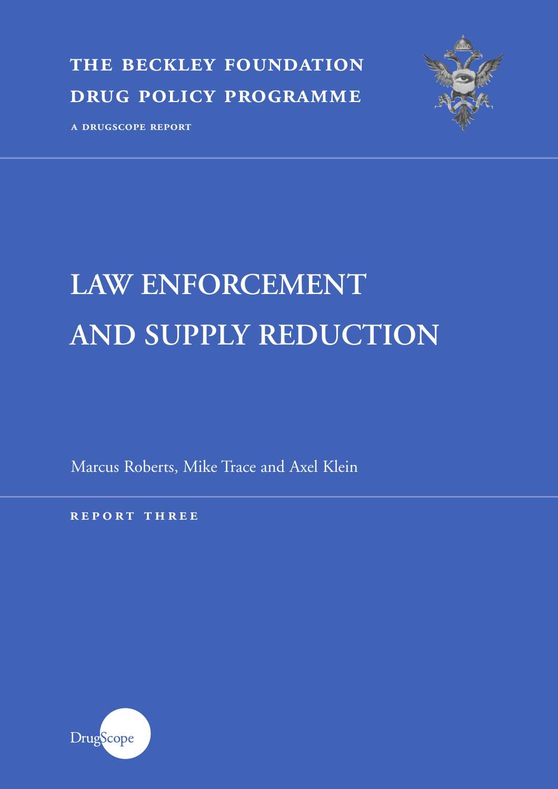**the beckley foundation drug policy programme**



**a drugscope report**

# **LAW ENFORCEMENT AND SUPPLY REDUCTION**

Marcus Roberts, Mike Trace and Axel Klein

**r eport three**

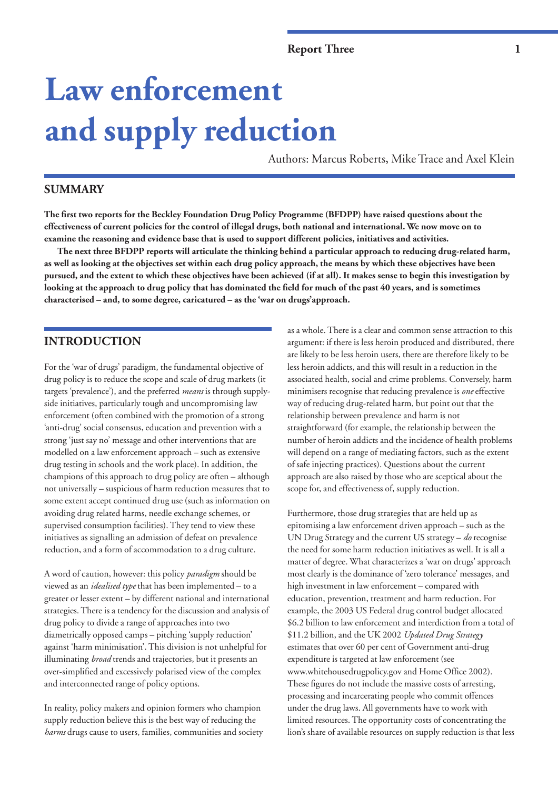# **Law enforcement and supply reduction**

Authors: Marcus Roberts**,** Mike Trace and Axel Klein

# **SUMMARY**

**The first two reports for the Beckley Foundation Drug Policy Programme (BFDPP) have raised questions about the effectiveness of current policies for the control of illegal drugs, both national and international. We now move on to examine the reasoning and evidence base that is used to support different policies, initiatives and activities.** 

**The next three BFDPP reports will articulate the thinking behind a particular approach to reducing drug-related harm, as well as looking at the objectives set within each drug policy approach, the means by which these objectives have been pursued, and the extent to which these objectives have been achieved (if at all). It makes sense to begin this investigation by looking at the approach to drug policy that has dominated the field for much of the past 40 years, and is sometimes characterised – and, to some degree, caricatured – as the 'war on drugs'approach.** 

# **INTRODUCTION**

For the 'war of drugs' paradigm, the fundamental objective of drug policy is to reduce the scope and scale of drug markets (it targets 'prevalence'), and the preferred *means* is through supplyside initiatives, particularly tough and uncompromising law enforcement (often combined with the promotion of a strong 'anti-drug' social consensus, education and prevention with a strong 'just say no' message and other interventions that are modelled on a law enforcement approach – such as extensive drug testing in schools and the work place). In addition, the champions of this approach to drug policy are often – although not universally – suspicious of harm reduction measures that to some extent accept continued drug use (such as information on avoiding drug related harms, needle exchange schemes, or supervised consumption facilities). They tend to view these initiatives as signalling an admission of defeat on prevalence reduction, and a form of accommodation to a drug culture.

A word of caution, however: this policy *paradigm* should be viewed as an *idealised type* that has been implemented – to a greater or lesser extent – by different national and international strategies. There is a tendency for the discussion and analysis of drug policy to divide a range of approaches into two diametrically opposed camps – pitching 'supply reduction' against 'harm minimisation'. This division is not unhelpful for illuminating *broad* trends and trajectories, but it presents an over-simplified and excessively polarised view of the complex and interconnected range of policy options.

In reality, policy makers and opinion formers who champion supply reduction believe this is the best way of reducing the *harms* drugs cause to users, families, communities and society as a whole. There is a clear and common sense attraction to this argument: if there is less heroin produced and distributed, there are likely to be less heroin users, there are therefore likely to be less heroin addicts, and this will result in a reduction in the associated health, social and crime problems. Conversely, harm minimisers recognise that reducing prevalence is *one* effective way of reducing drug-related harm, but point out that the relationship between prevalence and harm is not straightforward (for example, the relationship between the number of heroin addicts and the incidence of health problems will depend on a range of mediating factors, such as the extent of safe injecting practices). Questions about the current approach are also raised by those who are sceptical about the scope for, and effectiveness of, supply reduction.

Furthermore, those drug strategies that are held up as epitomising a law enforcement driven approach – such as the UN Drug Strategy and the current US strategy – *do* recognise the need for some harm reduction initiatives as well. It is all a matter of degree. What characterizes a 'war on drugs' approach most clearly is the dominance of 'zero tolerance' messages, and high investment in law enforcement – compared with education, prevention, treatment and harm reduction. For example, the 2003 US Federal drug control budget allocated \$6.2 billion to law enforcement and interdiction from a total of \$11.2 billion, and the UK 2002 *Updated Drug Strategy* estimates that over 60 per cent of Government anti-drug expenditure is targeted at law enforcement (see www.whitehousedrugpolicy.gov and Home Office 2002). These figures do not include the massive costs of arresting, processing and incarcerating people who commit offences under the drug laws. All governments have to work with limited resources. The opportunity costs of concentrating the lion's share of available resources on supply reduction is that less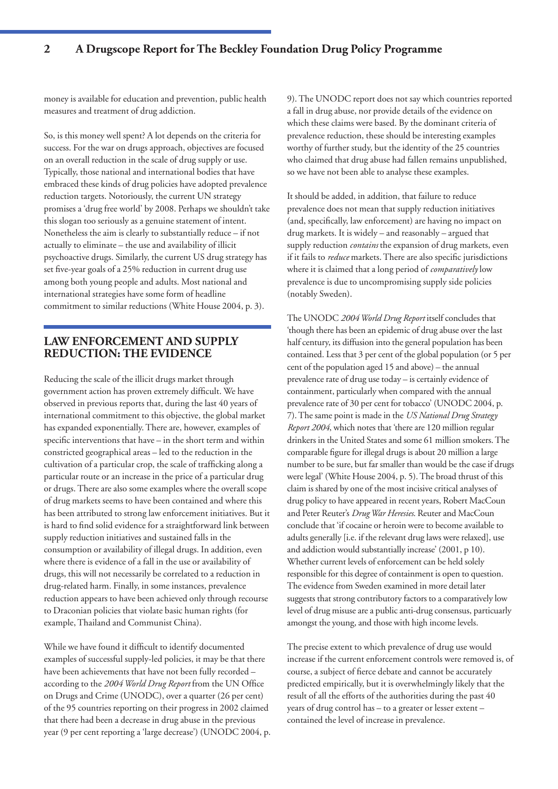money is available for education and prevention, public health measures and treatment of drug addiction.

So, is this money well spent? A lot depends on the criteria for success. For the war on drugs approach, objectives are focused on an overall reduction in the scale of drug supply or use. Typically, those national and international bodies that have embraced these kinds of drug policies have adopted prevalence reduction targets. Notoriously, the current UN strategy promises a 'drug free world' by 2008. Perhaps we shouldn't take this slogan too seriously as a genuine statement of intent. Nonetheless the aim is clearly to substantially reduce – if not actually to eliminate – the use and availability of illicit psychoactive drugs. Similarly, the current US drug strategy has set five-year goals of a 25% reduction in current drug use among both young people and adults. Most national and international strategies have some form of headline commitment to similar reductions (White House 2004, p. 3).

# **LAW ENFORCEMENT AND SUPPLY REDUCTION: THE EVIDENCE**

Reducing the scale of the illicit drugs market through government action has proven extremely difficult. We have observed in previous reports that, during the last 40 years of international commitment to this objective, the global market has expanded exponentially. There are, however, examples of specific interventions that have – in the short term and within constricted geographical areas – led to the reduction in the cultivation of a particular crop, the scale of trafficking along a particular route or an increase in the price of a particular drug or drugs. There are also some examples where the overall scope of drug markets seems to have been contained and where this has been attributed to strong law enforcement initiatives. But it is hard to find solid evidence for a straightforward link between supply reduction initiatives and sustained falls in the consumption or availability of illegal drugs. In addition, even where there is evidence of a fall in the use or availability of drugs, this will not necessarily be correlated to a reduction in drug-related harm. Finally, in some instances, prevalence reduction appears to have been achieved only through recourse to Draconian policies that violate basic human rights (for example, Thailand and Communist China).

While we have found it difficult to identify documented examples of successful supply-led policies, it may be that there have been achievements that have not been fully recorded – according to the *2004 World Drug Report* from the UN Office on Drugs and Crime (UNODC), over a quarter (26 per cent) of the 95 countries reporting on their progress in 2002 claimed that there had been a decrease in drug abuse in the previous year (9 per cent reporting a 'large decrease') (UNODC 2004, p. 9). The UNODC report does not say which countries reported a fall in drug abuse, nor provide details of the evidence on which these claims were based. By the dominant criteria of prevalence reduction, these should be interesting examples worthy of further study, but the identity of the 25 countries who claimed that drug abuse had fallen remains unpublished, so we have not been able to analyse these examples.

It should be added, in addition, that failure to reduce prevalence does not mean that supply reduction initiatives (and, specifically, law enforcement) are having no impact on drug markets. It is widely – and reasonably – argued that supply reduction *contains* the expansion of drug markets, even if it fails to *reduce* markets. There are also specific jurisdictions where it is claimed that a long period of *comparatively* low prevalence is due to uncompromising supply side policies (notably Sweden).

The UNODC *2004 World Drug Report* itself concludes that 'though there has been an epidemic of drug abuse over the last half century, its diffusion into the general population has been contained. Less that 3 per cent of the global population (or 5 per cent of the population aged 15 and above) – the annual prevalence rate of drug use today – is certainly evidence of containment, particularly when compared with the annual prevalence rate of 30 per cent for tobacco' (UNODC 2004, p. 7). The same point is made in the *US National Drug Strategy Report 2004*, which notes that 'there are 120 million regular drinkers in the United States and some 61 million smokers. The comparable figure for illegal drugs is about 20 million a large number to be sure, but far smaller than would be the case if drugs werelegal' (White House 2004, p. 5). The broad thrust of this claim is shared by one of the most incisive critical analyses of drug policy to have appeared in recent years, Robert MacCoun and Peter Reuter's *Drug War Heresies*. Reuter and MacCoun conclude that 'if cocaine or heroin were to become available to adults generally [i.e. if the relevant drug laws were relaxed], use and addiction would substantially increase' (2001, p 10). Whether current levels of enforcement can be held solely responsible for this degree of containment is open to question. The evidence from Sweden examined in more detail later suggests that strong contributory factors to a comparatively low level of drug misuse are a public anti-drug consensus, particuarly amongst the young, and those with high income levels.

The precise extent to which prevalence of drug use would increase if the current enforcement controls were removed is, of course, a subject of fierce debate and cannot be accurately predicted empirically, but it is overwhelmingly likely that the result of all the efforts of the authorities during the past 40 years of drug control has – to a greater or lesser extent – contained the level of increase in prevalence.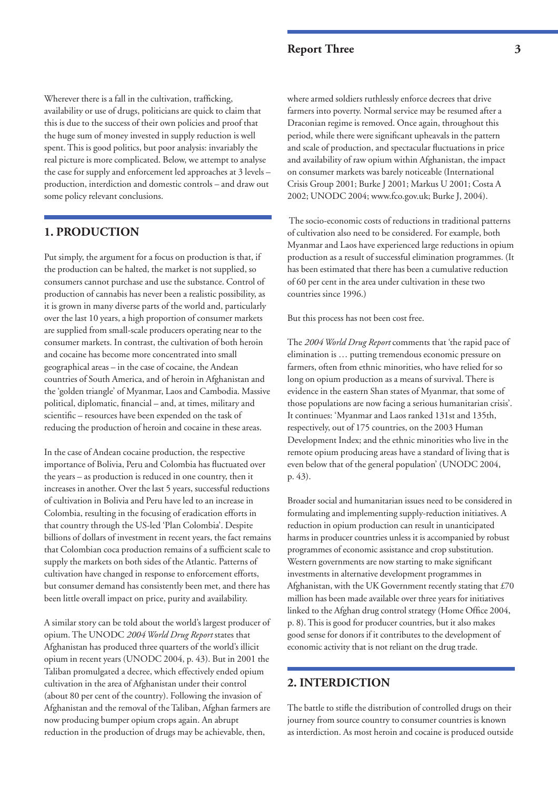Wherever there is a fall in the cultivation, trafficking, availability or use of drugs, politicians are quick to claim that this is due to the success of their own policies and proof that the huge sum of money invested in supply reduction is well spent. This is good politics, but poor analysis: invariably the real picture is more complicated. Below, we attempt to analyse the case for supply and enforcement led approaches at 3 levels – production, interdiction and domestic controls – and draw out some policy relevant conclusions.

# **1. PRODUCTION**

Put simply, the argument for a focus on production is that, if the production can be halted, the market is not supplied, so consumers cannot purchase and use the substance. Control of production of cannabis has never been a realistic possibility, as it is grown in many diverse parts of the world and, particularly over the last 10 years, a high proportion of consumer markets are supplied from small-scale producers operating near to the consumer markets. In contrast, the cultivation of both heroin and cocaine has become more concentrated into small geographical areas – in the case of cocaine, the Andean countries of South America, and of heroin in Afghanistan and the 'golden triangle' of Myanmar, Laos and Cambodia. Massive political, diplomatic, financial – and, at times, military and scientific – resources have been expended on the task of reducing the production of heroin and cocaine in these areas.

In the case of Andean cocaine production, the respective importance of Bolivia, Peru and Colombia has fluctuated over the years – as production is reduced in one country, then it increases in another. Over the last 5 years, successful reductions of cultivation in Bolivia and Peru have led to an increase in Colombia, resulting in the focusing of eradication efforts in that country through the US-led 'Plan Colombia'. Despite billions of dollars of investment in recent years, the fact remains that Colombian coca production remains of a sufficient scale to supply the markets on both sides of the Atlantic. Patterns of cultivation have changed in response to enforcement efforts, but consumer demand has consistently been met, and there has been little overall impact on price, purity and availability.

A similar story can be told about the world's largest producer of opium. The UNODC *2004 World Drug Report* states that Afghanistan has produced three quarters of the world's illicit opium in recent years (UNODC 2004, p. 43). But in 2001 the Taliban promulgated a decree, which effectively ended opium cultivation in the area of Afghanistan under their control (about 80 per cent of the country). Following the invasion of Afghanistan and the removal of the Taliban, Afghan farmers are now producing bumper opium crops again. An abrupt reduction in the production of drugs may be achievable, then,

where armed soldiers ruthlessly enforce decrees that drive farmers into poverty. Normal service may be resumed after a Draconian regime is removed. Once again, throughout this period, while there were significant upheavals in the pattern and scale of production, and spectacular fluctuations in price and availability of raw opium within Afghanistan, the impact on consumer markets was barely noticeable (International Crisis Group 2001; Burke J 2001; Markus U 2001; Costa A 2002; UNODC 2004; www.fco.gov.uk; Burke J, 2004).

The socio-economic costs of reductions in traditional patterns of cultivation also need to be considered. For example, both Myanmar and Laos have experienced large reductions in opium production as a result of successful elimination programmes. (It has been estimated that there has been a cumulative reduction of 60 per cent in the area under cultivation in these two countries since 1996.)

But this process has not been cost free.

The *2004 World Drug Report* comments that 'the rapid pace of elimination is … putting tremendous economic pressure on farmers, often from ethnic minorities, who have relied for so long on opium production as a means of survival. There is evidence in the eastern Shan states of Myanmar, that some of those populations are now facing a serious humanitarian crisis'. It continues: 'Myanmar and Laos ranked 131st and 135th, respectively, out of 175 countries, on the 2003 Human Development Index; and the ethnic minorities who live in the remote opium producing areas have a standard of living that is even below that of the general population' (UNODC 2004, p. 43).

Broader social and humanitarian issues need to be considered in formulating and implementing supply-reduction initiatives. A reduction in opium production can result in unanticipated harms in producer countries unless it is accompanied by robust programmes of economic assistance and crop substitution. Western governments are now starting to make significant investments in alternative development programmes in Afghanistan, with the UK Government recently stating that £70 million has been made available over three years for initiatives linked to the Afghan drug control strategy (Home Office 2004, p. 8). This is good for producer countries, but it also makes good sense for donors if it contributes to the development of economic activity that is not reliant on the drug trade.

# **2. INTERDICTION**

The battle to stifle the distribution of controlled drugs on their journey from source country to consumer countries is known as interdiction. As most heroin and cocaine is produced outside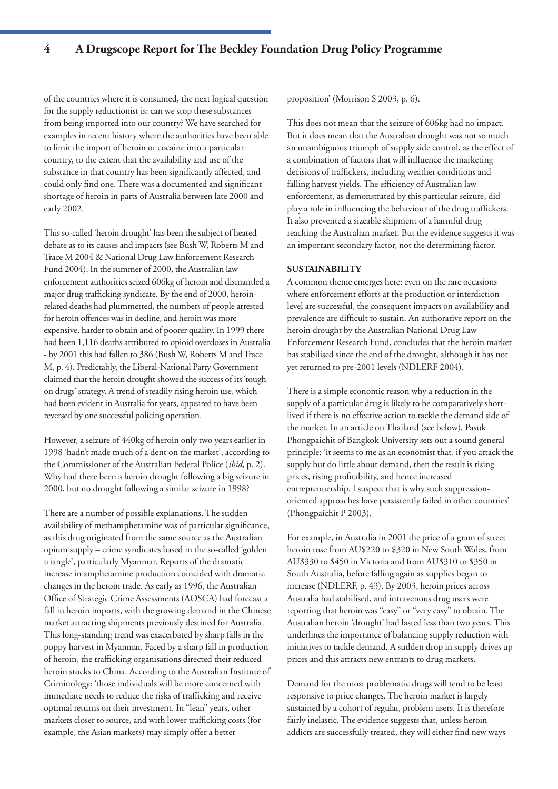of the countries where it is consumed, the next logical question for the supply reductionist is: can we stop these substances from being imported into our country? We have searched for examples in recent history where the authorities have been able to limit the import of heroin or cocaine into a particular country, to the extent that the availability and use of the substance in that country has been significantly affected, and could only find one. There was a documented and significant shortage of heroin in parts of Australia between late 2000 and early 2002.

This so-called 'heroin drought' has been the subject of heated debate as to its causes and impacts (see Bush W, Roberts M and Trace M 2004 & National Drug Law Enforcement Research Fund 2004). In the summer of 2000, the Australian law enforcement authorities seized 606kg of heroin and dismantled a major drug trafficking syndicate. By the end of 2000, heroinrelated deaths had plummetted, the numbers of people arrested for heroin offences was in decline, and heroin was more expensive, harder to obtain and of poorer quality. In 1999 there had been 1,116 deaths attributed to opioid overdoses in Australia - by 2001 this had fallen to 386 (Bush W, Roberts M and Trace M, p. 4). Predictably, the Liberal-National Party Government claimed that the heroin drought showed the success of its 'tough on drugs' strategy. A trend of steadily rising heroin use, which had been evident in Australia for years, appeared to have been reversed by one successful policing operation.

However, a seizure of 440kg of heroin only two years earlier in 1998 'hadn't made much of a dent on the market', according to the Commissioner of the Australian Federal Police (*ibid*, p. 2). Why had there been a heroin drought following a big seizure in 2000, but no drought following a similar seizure in 1998?

There are a number of possible explanations. The sudden availability of methamphetamine was of particular significance, as this drug originated from the same source as the Australian opium supply – crime syndicates based in the so-called 'golden triangle', particularly Myanmar. Reports of the dramatic increase in amphetamine production coincided with dramatic changes in the heroin trade. As early as 1996, the Australian Office of Strategic Crime Assessments (AOSCA) had forecast a fall in heroin imports, with the growing demand in the Chinese market attracting shipments previously destined for Australia. This long-standing trend was exacerbated by sharp falls in the poppy harvest in Myanmar. Faced by a sharp fall in production of heroin, the trafficking organisations directed their reduced heroin stocks to China. According to the Australian Institute of Criminology: 'those individuals will be more concerned with immediate needs to reduce the risks of trafficking and receive optimal returns on their investment. In "lean" years, other markets closer to source, and with lower trafficking costs (for example, the Asian markets) may simply offer a better

proposition' (Morrison S 2003, p. 6).

This does not mean that the seizure of 606kg had no impact. But it does mean that the Australian drought was not so much an unambiguous triumph of supply side control, as the effect of a combination of factors that will influence the marketing decisions of traffickers, including weather conditions and falling harvest yields. The efficiency of Australian law enforcement, as demonstrated by this particular seizure, did play a role in influencing the behaviour of the drug traffickers. It also prevented a sizeable shipment of a harmful drug reaching the Australian market. But the evidence suggests it was an important secondary factor, not the determining factor.

#### **SUSTAINABILITY**

A common theme emerges here: even on the rare occasions where enforcement efforts at the production or interdiction level are successful, the consequent impacts on availability and prevalence are difficult to sustain. An authorative report on the heroin drought by the Australian National Drug Law Enforcement Research Fund, concludes that the heroin market has stabilised since the end of the drought, although it has not yet returned to pre-2001 levels (NDLERF 2004).

There is a simple economic reason why a reduction in the supply of a particular drug is likely to be comparatively shortlived if there is no effective action to tackle the demand side of the market. In an article on Thailand (see below), Pasuk Phongpaichit of Bangkok University sets out a sound general principle: 'it seems to me as an economist that, if you attack the supply but do little about demand, then the result is rising prices, rising profitability, and hence increased entreprenuership. I suspect that is why such suppressionoriented approaches have persistently failed in other countries' (Phongpaichit P 2003).

For example, in Australia in 2001 the price of a gram of street heroin rose from AU\$220 to \$320 in New South Wales, from AU\$330 to \$450 in Victoria and from AU\$310 to \$350 in South Australia, before falling again as supplies began to increase (NDLERF, p. 43). By 2003, heroin prices across Australia had stabilised, and intravenous drug users were reporting that heroin was "easy" or "very easy" to obtain. The Australian heroin 'drought' had lasted less than two years. This underlines the importance of balancing supply reduction with initiatives to tackle demand. A sudden drop in supply drives up prices and this attracts new entrants to drug markets.

Demand for the most problematic drugs will tend to be least responsive to price changes. The heroin market is largely sustained by a cohort of regular, problem users. It is therefore fairly inelastic. The evidence suggests that, unless heroin addicts are successfully treated, they will either find new ways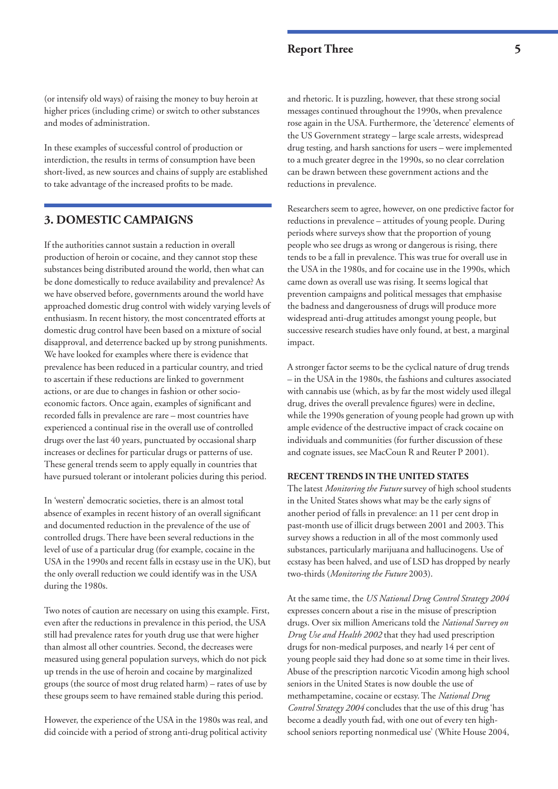(or intensify old ways) of raising the money to buy heroin at higher prices (including crime) or switch to other substances and modes of administration.

In these examples of successful control of production or interdiction, the results in terms of consumption have been short-lived, as new sources and chains of supply are established to take advantage of the increased profits to be made.

# **3. DOMESTIC CAMPAIGNS**

If the authorities cannot sustain a reduction in overall production of heroin or cocaine, and they cannot stop these substances being distributed around the world, then what can be done domestically to reduce availability and prevalence? As we have observed before, governments around the world have approached domestic drug control with widely varying levels of enthusiasm. In recent history, the most concentrated efforts at domestic drug control have been based on a mixture of social disapproval, and deterrence backed up by strong punishments. We have looked for examples where there is evidence that prevalence has been reduced in a particular country, and tried to ascertain if these reductions are linked to government actions, or are due to changes in fashion or other socioeconomic factors. Once again, examples of significant and recorded falls in prevalence are rare – most countries have experienced a continual rise in the overall use of controlled drugs over the last 40 years, punctuated by occasional sharp increases or declines for particular drugs or patterns of use. These general trends seem to apply equally in countries that have pursued tolerant or intolerant policies during this period.

In 'western' democratic societies, there is an almost total absence of examples in recent history of an overall significant and documented reduction in the prevalence of the use of controlled drugs. There have been several reductions in the level of use of a particular drug (for example, cocaine in the USA in the 1990s and recent falls in ecstasy use in the UK), but the only overall reduction we could identify was in the USA during the 1980s.

Two notes of caution are necessary on using this example. First, even after the reductions in prevalence in this period, the USA still had prevalence rates for youth drug use that were higher than almost all other countries. Second, the decreases were measured using general population surveys, which do not pick up trends in the use of heroin and cocaine by marginalized groups (the source of most drug related harm) – rates of use by these groups seem to have remained stable during this period.

However, the experience of the USA in the 1980s was real, and did coincide with a period of strong anti-drug political activity

and rhetoric. It is puzzling, however, that these strong social messages continued throughout the 1990s, when prevalence rose again in the USA. Furthermore, the 'deterence' elements of the US Government strategy – large scale arrests, widespread drug testing, and harsh sanctions for users – were implemented to a much greater degree in the 1990s, so no clear correlation can be drawn between these government actions and the reductions in prevalence.

Researchers seem to agree, however, on one predictive factor for reductions in prevalence – attitudes of young people. During periods where surveys show that the proportion of young people who see drugs as wrong or dangerous is rising, there tends to be a fall in prevalence. This was true for overall use in the USA in the 1980s, and for cocaine use in the 1990s, which came down as overall use was rising. It seems logical that prevention campaigns and political messages that emphasise the badness and dangerousness of drugs will produce more widespread anti-drug attitudes amongst young people, but successive research studies have only found, at best, a marginal impact.

A stronger factor seems to be the cyclical nature of drug trends – in the USA in the 1980s, the fashions and cultures associated with cannabis use (which, as by far the most widely used illegal drug, drives the overall prevalence figures) were in decline, while the 1990s generation of young people had grown up with ample evidence of the destructive impact of crack cocaine on individuals and communities (for further discussion of these and cognate issues, see MacCoun R and Reuter P 2001).

#### **RECENT TRENDS IN THE UNITED STATES**

The latest *Monitoring the Future* survey of high school students in the United States shows what may be the early signs of another period of falls in prevalence: an 11 per cent drop in past-month use of illicit drugs between 2001 and 2003. This survey shows a reduction in all of the most commonly used substances, particularly marijuana and hallucinogens. Use of ecstasy has been halved, and use of LSD has dropped by nearly two-thirds (*Monitoring the Future* 2003).

At the same time, the *US National Drug Control Strategy 2004* expresses concern about a rise in the misuse of prescription drugs. Over six million Americans told the *National Survey on Drug Use and Health 2002* that they had used prescription drugs for non-medical purposes, and nearly 14 per cent of young people said they had done so at some time in their lives. Abuse of the prescription narcotic Vicodin among high school seniors in the United States is now double the use of methampetamine, cocaine or ecstasy. The *National Drug Control Strategy 2004* concludes that the use of this drug 'has become a deadly youth fad, with one out of every ten highschool seniors reporting nonmedical use' (White House 2004,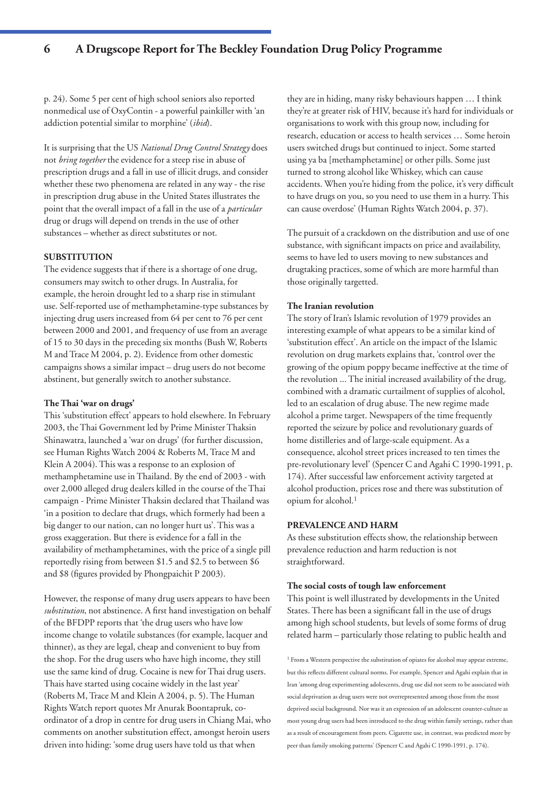p. 24). Some 5 per cent of high school seniors also reported nonmedical use of OxyContin - a powerful painkiller with 'an addiction potential similar to morphine' (*ibid*).

It is surprising that the US *National Drug Control Strategy* does not *bring together* the evidence for a steep rise in abuse of prescription drugs and a fall in use of illicit drugs, and consider whether these two phenomena are related in any way - the rise in prescription drug abuse in the United States illustrates the point that the overall impact of a fall in the use of a *particular* drug or drugs will depend on trends in the use of other substances – whether as direct substitutes or not.

#### **SUBSTITUTION**

The evidence suggests that if there is a shortage of one drug, consumers may switch to other drugs. In Australia, for example, the heroin drought led to a sharp rise in stimulant use. Self-reported use of methamphetamine-type substances by injecting drug users increased from 64 per cent to 76 per cent between 2000 and 2001, and frequency of use from an average of 15 to 30 days in the preceding six months (Bush W, Roberts M and Trace M 2004, p. 2). Evidence from other domestic campaigns shows a similar impact – drug users do not become abstinent, but generally switch to another substance.

#### **The Thai 'war on drugs'**

This 'substitution effect' appears to hold elsewhere. In February 2003, the Thai Government led by Prime Minister Thaksin Shinawatra, launched a 'war on drugs' (for further discussion, see Human Rights Watch 2004 & Roberts M, Trace M and Klein A 2004). This was a response to an explosion of methamphetamine use in Thailand. By the end of 2003 - with over 2,000 alleged drug dealers killed in the course of the Thai campaign - Prime Minister Thaksin declared that Thailand was 'in a position to declare that drugs, which formerly had been a big danger to our nation, can no longer hurt us'. This was a gross exaggeration. But there is evidence for a fall in the availability of methamphetamines, with the price of a single pill reportedly rising from between \$1.5 and \$2.5 to between \$6 and \$8 (figures provided by Phongpaichit P 2003).

However, the response of many drug users appears to have been *substitution*, not abstinence. A first hand investigation on behalf of the BFDPP reports that 'the drug users who have low income change to volatile substances (for example, lacquer and thinner), as they are legal, cheap and convenient to buy from the shop. For the drug users who have high income, they still use the same kind of drug. Cocaine is new for Thai drug users. Thais have started using cocaine widely in the last year' (Roberts M, Trace M and Klein A 2004, p. 5). The Human Rights Watch report quotes Mr Anurak Boontapruk, coordinator of a drop in centre for drug users in Chiang Mai, who comments on another substitution effect, amongst heroin users driven into hiding: 'some drug users have told us that when

they are in hiding, many risky behaviours happen … I think they're at greater risk of HIV, because it's hard for individuals or organisations to work with this group now, including for research, education or access to health services … Some heroin users switched drugs but continued to inject. Some started using ya ba [methamphetamine] or other pills. Some just turned to strong alcohol like Whiskey, which can cause accidents. When you're hiding from the police, it's very difficult to have drugs on you, so you need to use them in a hurry. This can cause overdose' (Human Rights Watch 2004, p. 37).

The pursuit of a crackdown on the distribution and use of one substance, with significant impacts on price and availability, seems to have led to users moving to new substances and drugtaking practices, some of which are more harmful than those originally targetted.

#### **The Iranian revolution**

The story of Iran's Islamic revolution of 1979 provides an interesting example of what appears to be a similar kind of 'substitution effect'. An article on the impact of the Islamic revolution on drug markets explains that, 'control over the growing of the opium poppy became ineffective at the time of the revolution ... The initial increased availability of the drug, combined with a dramatic curtailment of supplies of alcohol, led to an escalation of drug abuse. The new regime made alcohol a prime target. Newspapers of the time frequently reported the seizure by police and revolutionary guards of home distilleries and of large-scale equipment. As a consequence, alcohol street prices increased to ten times the pre-revolutionary level' (Spencer C and Agahi C 1990-1991, p. 174). After successful law enforcement activity targeted at alcohol production, prices rose and there was substitution of opium for alcohol.1

#### **PREVALENCE AND HARM**

As these substitution effects show, the relationship between prevalence reduction and harm reduction is not straightforward.

#### **The social costs of tough law enforcement**

This point is well illustrated by developments in the United States. There has been a significant fall in the use of drugs among high school students, but levels of some forms of drug related harm – particularly those relating to public health and

<sup>1</sup> From a Western perspective the substitution of opiates for alcohol may appear extreme, but this reflects different cultural norms. For example, Spencer and Agahi explain that in Iran 'among drug experimenting adolescents, drug use did not seem to be associated with social deprivation as drug users were not overrepresented among those from the most deprived social background. Nor was it an expression of an adolescent counter-culture as most young drug users had been introduced to the drug within family settings, rather than as a result of encouragement from peers. Cigarette use, in contrast, was predicted more by peer than family smoking patterns' (Spencer C and Agahi C 1990-1991, p. 174).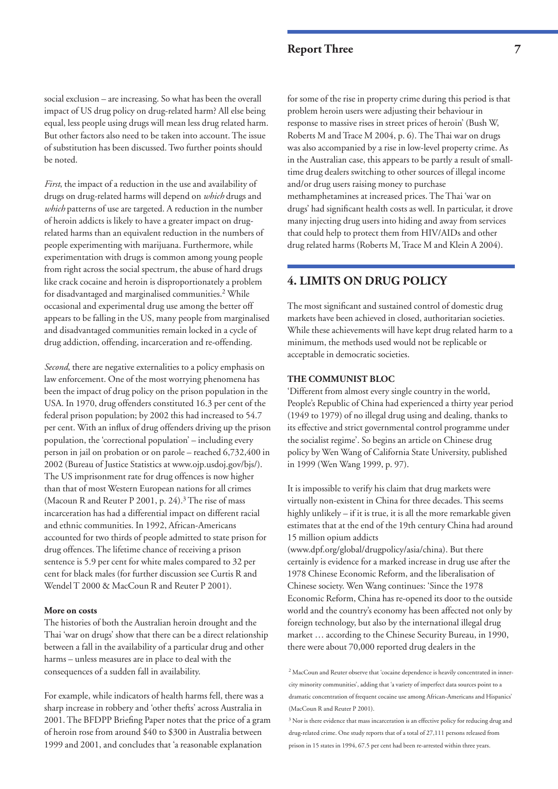social exclusion – are increasing. So what has been the overall impact of US drug policy on drug-related harm? All else being equal, less people using drugs will mean less drug related harm. But other factors also need to be taken into account. The issue of substitution has been discussed. Two further points should be noted.

*First*, the impact of a reduction in the use and availability of drugs on drug-related harms will depend on *which* drugs and *which* patterns of use are targeted. A reduction in the number of heroin addicts is likely to have a greater impact on drugrelated harms than an equivalent reduction in the numbers of people experimenting with marijuana. Furthermore, while experimentation with drugs is common among young people from right across the social spectrum, the abuse of hard drugs like crack cocaine and heroin is disproportionately a problem for disadvantaged and marginalised communities.<sup>2</sup> While occasional and experimental drug use among the better off appears to be falling in the US, many people from marginalised and disadvantaged communities remain locked in a cycle of drug addiction, offending, incarceration and re-offending.

*Second*, there are negative externalities to a policy emphasis on law enforcement. One of the most worrying phenomena has been the impact of drug policy on the prison population in the USA. In 1970, drug offenders constituted 16.3 per cent of the federal prison population; by 2002 this had increased to 54.7 per cent. With an influx of drug offenders driving up the prison population, the 'correctional population' – including every person in jail on probation or on parole – reached 6,732,400 in 2002 (Bureau of Justice Statistics at www.ojp.usdoj.gov/bjs/). The US imprisonment rate for drug offences is now higher than that of most Western European nations for all crimes (Macoun R and Reuter P 2001, p. 24).<sup>3</sup> The rise of mass incarceration has had a differential impact on different racial and ethnic communities. In 1992, African-Americans accounted for two thirds of people admitted to state prison for drug offences. The lifetime chance of receiving a prison sentence is 5.9 per cent for white males compared to 32 per cent for black males (for further discussion see Curtis R and Wendel T 2000 & MacCoun R and Reuter P 2001).

### **More on costs**

The histories of both the Australian heroin drought and the Thai 'war on drugs' show that there can be a direct relationship between a fall in the availability of a particular drug and other harms – unless measures are in place to deal with the consequences of a sudden fall in availability.

For example, while indicators of health harms fell, there was a sharp increase in robbery and 'other thefts' across Australia in 2001. The BFDPP Briefing Paper notes that the price of a gram of heroin rose from around \$40 to \$300 in Australia between 1999 and 2001, and concludes that 'a reasonable explanation

for some of the rise in property crime during this period is that problem heroin users were adjusting their behaviour in response to massive rises in street prices of heroin' (Bush W, Roberts M and Trace M 2004, p. 6). The Thai war on drugs was also accompanied by a rise in low-level property crime. As in the Australian case, this appears to be partly a result of smalltime drug dealers switching to other sources of illegal income and/or drug users raising money to purchase methamphetamines at increased prices. The Thai 'war on drugs' had significant health costs as well. In particular, it drove many injecting drug users into hiding and away from services that could help to protect them from HIV/AIDs and other drug related harms (Roberts M, Trace M and Klein A 2004).

### **4. LIMITS ON DRUG POLICY**

The most significant and sustained control of domestic drug markets have been achieved in closed, authoritarian societies. While these achievements will have kept drug related harm to a minimum, the methods used would not be replicable or acceptable in democratic societies.

#### **THE COMMUNIST BLOC**

'Different from almost every single country in the world, People's Republic of China had experienced a thirty year period (1949 to 1979) of no illegal drug using and dealing, thanks to its effective and strict governmental control programme under the socialist regime'. So begins an article on Chinese drug policy by Wen Wang of California State University, published in 1999 (Wen Wang 1999, p. 97).

It is impossible to verify his claim that drug markets were virtually non-existent in China for three decades. This seems highly unlikely – if it is true, it is all the more remarkable given estimates that at the end of the 19th century China had around 15 million opium addicts

(www.dpf.org/global/drugpolicy/asia/china). But there certainly is evidence for a marked increase in drug use after the 1978 Chinese Economic Reform, and the liberalisation of Chinese society. Wen Wang continues: 'Since the 1978 Economic Reform, China has re-opened its door to the outside world and the country's economy has been affected not only by foreign technology, but also by the international illegal drug market … according to the Chinese Security Bureau, in 1990, there were about 70,000 reported drug dealers in the

<sup>2</sup> MacCoun and Reuter observe that 'cocaine dependence is heavily concentrated in innercity minority communities', adding that 'a variety of imperfect data sources point to a dramatic concentration of frequent cocaine use among African-Americans and Hispanics' (MacCoun R and Reuter P 2001).

<sup>&</sup>lt;sup>3</sup> Nor is there evidence that mass incarceration is an effective policy for reducing drug and drug-related crime. One study reports that of a total of 27,111 persons released from prison in 15 states in 1994, 67.5 per cent had been re-arrested within three years.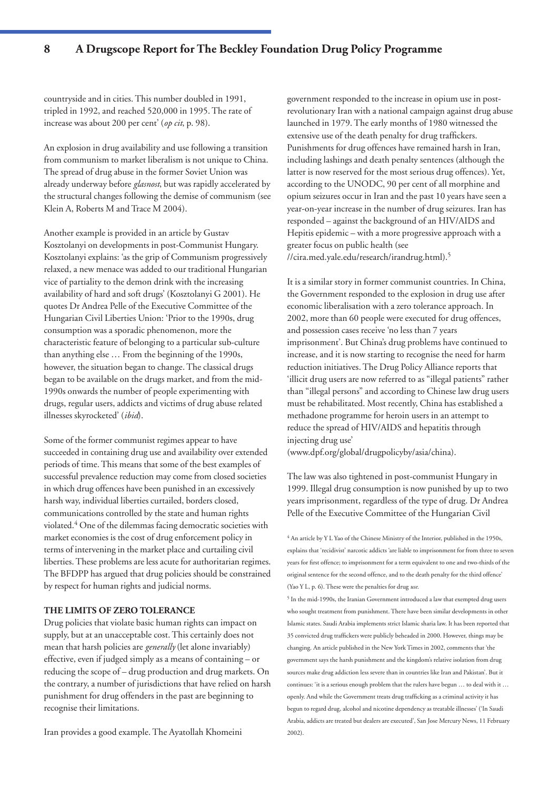countryside and in cities. This number doubled in 1991, tripled in 1992, and reached 520,000 in 1995. The rate of increase was about 200 per cent' (*op cit*, p. 98).

An explosion in drug availability and use following a transition from communism to market liberalism is not unique to China. The spread of drug abuse in the former Soviet Union was already underway before *glasnost*, but was rapidly accelerated by the structural changes following the demise of communism (see Klein A, Roberts M and Trace M 2004).

Another example is provided in an article by Gustav Kosztolanyi on developments in post-Communist Hungary. Kosztolanyi explains: 'as the grip of Communism progressively relaxed, a new menace was added to our traditional Hungarian vice of partiality to the demon drink with the increasing availability of hard and soft drugs' (Kosztolanyi G 2001). He quotes Dr Andrea Pelle of the Executive Committee of the Hungarian Civil Liberties Union: 'Prior to the 1990s, drug consumption was a sporadic phenomenon, more the characteristic feature of belonging to a particular sub-culture than anything else … From the beginning of the 1990s, however, the situation began to change. The classical drugs began to be available on the drugs market, and from the mid-1990s onwards the number of people experimenting with drugs, regular users, addicts and victims of drug abuse related illnesses skyrocketed' (*ibid*).

Some of the former communist regimes appear to have succeeded in containing drug use and availability over extended periods of time. This means that some of the best examples of successful prevalence reduction may come from closed societies in which drug offences have been punished in an excessively harsh way, individual liberties curtailed, borders closed, communications controlled by the state and human rights violated.4 One of the dilemmas facing democratic societies with market economies is the cost of drug enforcement policy in terms of intervening in the market place and curtailing civil liberties. These problems are less acute for authoritarian regimes. The BFDPP has argued that drug policies should be constrained by respect for human rights and judicial norms.

#### **THE LIMITS OF ZERO TOLERANCE**

Drug policies that violate basic human rights can impact on supply, but at an unacceptable cost. This certainly does not mean that harsh policies are *generally* (let alone invariably) effective, even if judged simply as a means of containing – or reducing the scope of – drug production and drug markets. On the contrary, a number of jurisdictions that have relied on harsh punishment for drug offenders in the past are beginning to recognise their limitations.

Iran provides a good example. The Ayatollah Khomeini

government responded to the increase in opium use in postrevolutionary Iran with a national campaign against drug abuse launched in 1979. The early months of 1980 witnessed the extensive use of the death penalty for drug traffickers. Punishments for drug offences have remained harsh in Iran, including lashings and death penalty sentences (although the latter is now reserved for the most serious drug offences). Yet, according to the UNODC, 90 per cent of all morphine and opium seizures occur in Iran and the past 10 years have seen a year-on-year increase in the number of drug seizures. Iran has responded – against the background of an HIV/AIDS and Hepitis epidemic – with a more progressive approach with a greater focus on public health (see //cira.med.yale.edu/research/irandrug.html).5

It is a similar story in former communist countries. In China, the Government responded to the explosion in drug use after economic liberalisation with a zero tolerance approach. In 2002, more than 60 people were executed for drug offences, and possession cases receive 'no less than 7 years imprisonment'. But China's drug problems have continued to increase, and it is now starting to recognise the need for harm reduction initiatives. The Drug Policy Alliance reports that 'illicit drug users are now referred to as "illegal patients" rather than "illegal persons" and according to Chinese law drug users must be rehabilitated. Most recently, China has established a methadone programme for heroin users in an attempt to reduce the spread of HIV/AIDS and hepatitis through injecting drug use'

(www.dpf.org/global/drugpolicyby/asia/china).

The law was also tightened in post-communist Hungary in 1999. Illegal drug consumption is now punished by up to two years imprisonment, regardless of the type of drug. Dr Andrea Pelle of the Executive Committee of the Hungarian Civil

 $^4$  An article by Y L Yao of the Chinese Ministry of the Interior, published in the 1950s, explains that 'recidivist' narcotic addicts 'are liable to imprisonment for from three to seven years for first offence; to imprisonment for a term equivalent to one and two-thirds of the original sentence for the second offence, and to the death penalty for the third offence' (Yao Y L, p. 6). These were the penalties for drug *use*.

 $^{\rm 5}$  In the mid-1990s, the Iranian Government introduced a law that exempted drug users who sought treatment from punishment. There have been similar developments in other Islamic states. Saudi Arabia implements strict Islamic sharia law. It has been reported that 35 convicted drug traffickers were publicly beheaded in 2000. However, things may be changing. An article published in the New York Times in 2002, comments that 'the government says the harsh punishment and the kingdom's relative isolation from drug sources make drug addiction less severe than in countries like Iran and Pakistan'. But it continues: 'it is a serious enough problem that the rulers have begun … to deal with it … openly. And while the Government treats drug trafficking as a criminal activity it has begun to regard drug, alcohol and nicotine dependency as treatable illnesses' ('In Saudi Arabia, addicts are treated but dealers are executed', San Jose Mercury News, 11 February 2002).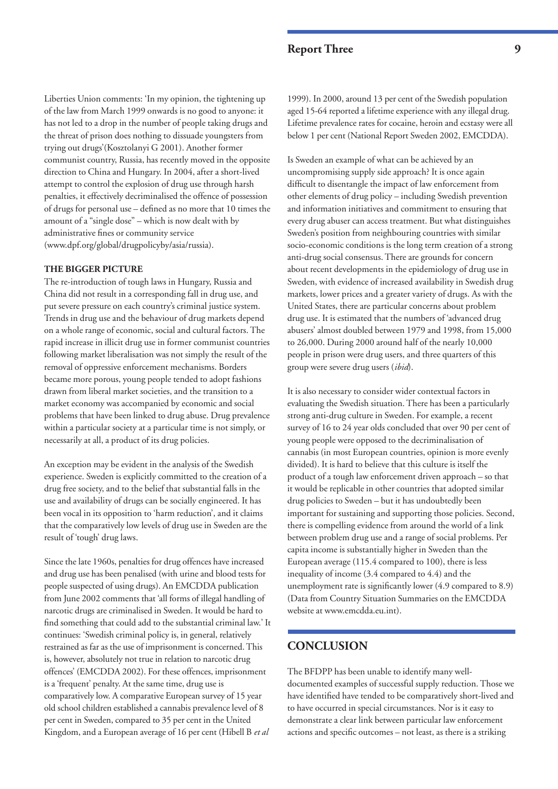Liberties Union comments: 'In my opinion, the tightening up of the law from March 1999 onwards is no good to anyone: it has not led to a drop in the number of people taking drugs and the threat of prison does nothing to dissuade youngsters from trying out drugs'(Kosztolanyi G 2001). Another former communist country, Russia, has recently moved in the opposite direction to China and Hungary. In 2004, after a short-lived attempt to control the explosion of drug use through harsh penalties, it effectively decriminalised the offence of possession of drugs for personal use – defined as no more that 10 times the amount of a "single dose" – which is now dealt with by administrative fines or community service (www.dpf.org/global/drugpolicyby/asia/russia).

#### **THE BIGGER PICTURE**

The re-introduction of tough laws in Hungary, Russia and China did not result in a corresponding fall in drug use, and put severe pressure on each country's criminal justice system. Trends in drug use and the behaviour of drug markets depend on a whole range of economic, social and cultural factors. The rapid increase in illicit drug use in former communist countries following market liberalisation was not simply the result of the removal of oppressive enforcement mechanisms. Borders became more porous, young people tended to adopt fashions drawn from liberal market societies, and the transition to a market economy was accompanied by economic and social problems that have been linked to drug abuse. Drug prevalence within a particular society at a particular time is not simply, or necessarily at all, a product of its drug policies.

An exception may be evident in the analysis of the Swedish experience. Sweden is explicitly committed to the creation of a drug free society, and to the belief that substantial falls in the use and availability of drugs can be socially engineered. It has been vocal in its opposition to 'harm reduction', and it claims that the comparatively low levels of drug use in Sweden are the result of 'tough' drug laws.

Since the late 1960s, penalties for drug offences have increased and drug use has been penalised (with urine and blood tests for people suspected of using drugs). An EMCDDA publication from June 2002 comments that 'all forms of illegal handling of narcotic drugs are criminalised in Sweden. It would be hard to find something that could add to the substantial criminal law.' It continues: 'Swedish criminal policy is, in general, relatively restrained as far as the use of imprisonment is concerned. This is, however, absolutely not true in relation to narcotic drug offences' (EMCDDA 2002). For these offences, imprisonment is a 'frequent' penalty. At the same time, drug use is comparatively low. A comparative European survey of 15 year old school children established a cannabis prevalence level of 8 per cent in Sweden, compared to 35 per cent in the United Kingdom, and a European average of 16 per cent (Hibell B *et al*

# **Report Three 9**

1999). In 2000, around 13 per cent of the Swedish population aged 15-64 reported a lifetime experience with any illegal drug. Lifetime prevalence rates for cocaine, heroin and ecstasy were all below 1 per cent (National Report Sweden 2002, EMCDDA).

Is Sweden an example of what can be achieved by an uncompromising supply side approach? It is once again difficult to disentangle the impact of law enforcement from other elements of drug policy – including Swedish prevention and information initiatives and commitment to ensuring that every drug abuser can access treatment. But what distinguishes Sweden's position from neighbouring countries with similar socio-economic conditions is the long term creation of a strong anti-drug social consensus. There are grounds for concern about recent developments in the epidemiology of drug use in Sweden, with evidence of increased availability in Swedish drug markets, lower prices and a greater variety of drugs. As with the United States, there are particular concerns about problem drug use. It is estimated that the numbers of 'advanced drug abusers' almost doubled between 1979 and 1998, from 15,000 to 26,000. During 2000 around half of the nearly 10,000 people in prison were drug users, and three quarters of this group were severe drug users (*ibid*).

It is also necessary to consider wider contextual factors in evaluating the Swedish situation. There has been a particularly strong anti-drug culture in Sweden. For example, a recent survey of 16 to 24 year olds concluded that over 90 per cent of young people were opposed to the decriminalisation of cannabis (in most European countries, opinion is more evenly divided). It is hard to believe that this culture is itself the product of a tough law enforcement driven approach – so that it would be replicable in other countries that adopted similar drug policies to Sweden – but it has undoubtedly been important for sustaining and supporting those policies. Second, there is compelling evidence from around the world of a link between problem drug use and a range of social problems. Per capita income is substantially higher in Sweden than the European average (115.4 compared to 100), there is less inequality of income (3.4 compared to 4.4) and the unemployment rate is significantly lower (4.9 compared to 8.9) (Data from Country Situation Summaries on the EMCDDA website at www.emcdda.eu.int).

# **CONCLUSION**

The BFDPP has been unable to identify many welldocumented examples of successful supply reduction. Those we have identified have tended to be comparatively short-lived and to have occurred in special circumstances. Nor is it easy to demonstrate a clear link between particular law enforcement actions and specific outcomes – not least, as there is a striking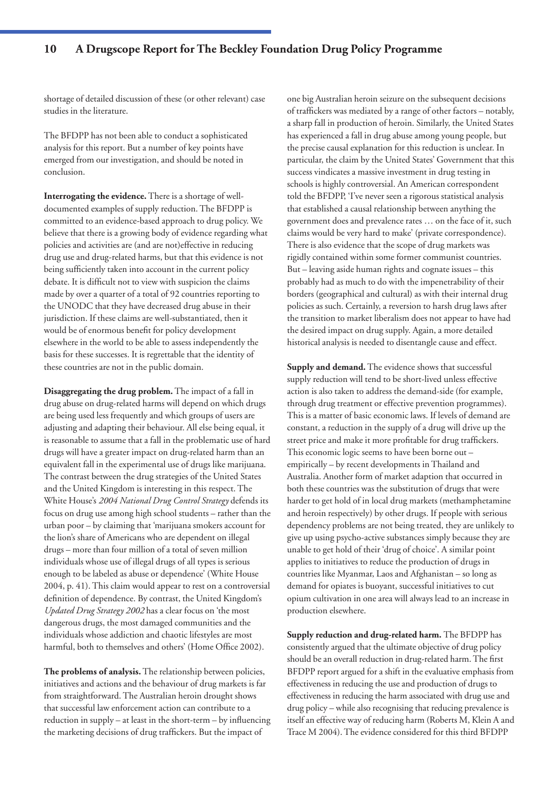shortage of detailed discussion of these (or other relevant) case studies in the literature.

The BFDPP has not been able to conduct a sophisticated analysis for this report. But a number of key points have emerged from our investigation, and should be noted in conclusion.

**Interrogating the evidence.** There is a shortage of welldocumented examples of supply reduction. The BFDPP is committed to an evidence-based approach to drug policy. We believe that there is a growing body of evidence regarding what policies and activities are (and are not)effective in reducing drug use and drug-related harms, but that this evidence is not being sufficiently taken into account in the current policy debate. It is difficult not to view with suspicion the claims made by over a quarter of a total of 92 countries reporting to the UNODC that they have decreased drug abuse in their jurisdiction. If these claims are well-substantiated, then it would be of enormous benefit for policy development elsewhere in the world to be able to assess independently the basis for these successes. It is regrettable that the identity of these countries are not in the public domain.

**Disaggregating the drug problem.** The impact of a fall in drug abuse on drug-related harms will depend on which drugs are being used less frequently and which groups of users are adjusting and adapting their behaviour. All else being equal, it is reasonable to assume that a fall in the problematic use of hard drugs will have a greater impact on drug-related harm than an equivalent fall in the experimental use of drugs like marijuana. The contrast between the drug strategies of the United States and the United Kingdom is interesting in this respect. The White House's *2004 National Drug Control Strategy* defends its focus on drug use among high school students – rather than the urban poor – by claiming that 'marijuana smokers account for the lion's share of Americans who are dependent on illegal drugs – more than four million of a total of seven million individuals whose use of illegal drugs of all types is serious enough to be labeled as abuse or dependence' (White House 2004, p. 41). This claim would appear to rest on a controversial definition of dependence. By contrast, the United Kingdom's *Updated Drug Strategy 2002* has a clear focus on 'the most dangerous drugs, the most damaged communities and the individuals whose addiction and chaotic lifestyles are most harmful, both to themselves and others' (Home Office 2002).

**The problems of analysis.** The relationship between policies, initiatives and actions and the behaviour of drug markets is far from straightforward. The Australian heroin drought shows that successful law enforcement action can contribute to a reduction in supply – at least in the short-term – by influencing the marketing decisions of drug traffickers. But the impact of

one big Australian heroin seizure on the subsequent decisions of traffickers was mediated by a range of other factors – notably, a sharp fall in production of heroin. Similarly, the United States has experienced a fall in drug abuse among young people, but the precise causal explanation for this reduction is unclear. In particular, the claim by the United States' Government that this success vindicates a massive investment in drug testing in schools is highly controversial. An American correspondent told the BFDPP, 'I've never seen a rigorous statistical analysis that established a causal relationship between anything the government does and prevalence rates … on the face of it, such claims would be very hard to make' (private correspondence). There is also evidence that the scope of drug markets was rigidly contained within some former communist countries. But – leaving aside human rights and cognate issues – this probably had as much to do with the impenetrability of their borders (geographical and cultural) as with their internal drug policies as such. Certainly, a reversion to harsh drug laws after the transition to market liberalism does not appear to have had the desired impact on drug supply. Again, a more detailed historical analysis is needed to disentangle cause and effect.

**Supply and demand.** The evidence shows that successful supply reduction will tend to be short-lived unless effective action is also taken to address the demand-side (for example, through drug treatment or effective prevention programmes). This is a matter of basic economic laws. If levels of demand are constant, a reduction in the supply of a drug will drive up the street price and make it more profitable for drug traffickers. This economic logic seems to have been borne out – empirically – by recent developments in Thailand and Australia. Another form of market adaption that occurred in both these countries was the substitution of drugs that were harder to get hold of in local drug markets (methamphetamine and heroin respectively) by other drugs. If people with serious dependency problems are not being treated, they are unlikely to give up using psycho-active substances simply because they are unable to get hold of their 'drug of choice'. A similar point applies to initiatives to reduce the production of drugs in countries like Myanmar, Laos and Afghanistan – so long as demand for opiates is buoyant, successful initiatives to cut opium cultivation in one area will always lead to an increase in production elsewhere.

**Supply reduction and drug-related harm.** The BFDPP has consistently argued that the ultimate objective of drug policy should be an overall reduction in drug-related harm. The first BFDPP report argued for a shift in the evaluative emphasis from effectiveness in reducing the use and production of drugs to effectiveness in reducing the harm associated with drug use and drug policy – while also recognising that reducing prevalence is itself an effective way of reducing harm (Roberts M, Klein A and Trace M 2004). The evidence considered for this third BFDPP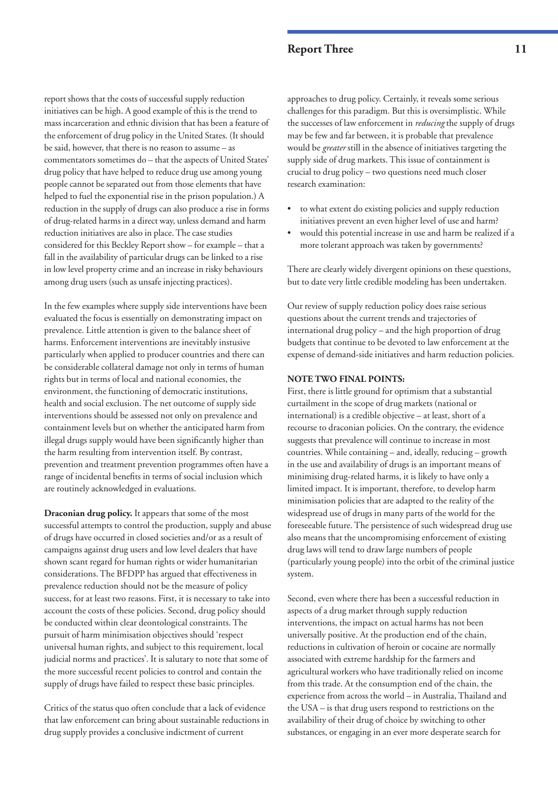report shows that the costs of successful supply reduction initiatives can be high. A good example of this is the trend to mass incarceration and ethnic division that has been a feature of the enforcement of drug policy in the United States. (It should be said, however, that there is no reason to assume – as commentators sometimes do – that the aspects of United States' drug policy that have helped to reduce drug use among young people cannot be separated out from those elements that have helped to fuel the exponential rise in the prison population.) A reduction in the supply of drugs can also produce a rise in forms of drug-related harms in a direct way, unless demand and harm reduction initiatives are also in place. The case studies considered for this Beckley Report show – for example – that a fall in the availability of particular drugs can be linked to a rise in low level property crime and an increase in risky behaviours among drug users (such as unsafe injecting practices).

In the few examples where supply side interventions have been evaluated the focus is essentially on demonstrating impact on prevalence. Little attention is given to the balance sheet of harms. Enforcement interventions are inevitably instusive particularly when applied to producer countries and there can be considerable collateral damage not only in terms of human rights but in terms of local and national economies, the environment, the functioning of democratic institutions, health and social exclusion. The net outcome of supply side interventions should be assessed not only on prevalence and containment levels but on whether the anticipated harm from illegal drugs supply would have been significantly higher than the harm resulting from intervention itself. By contrast, prevention and treatment prevention programmes often have a range of incidental benefits in terms of social inclusion which are routinely acknowledged in evaluations.

**Draconian drug policy.** It appears that some of the most successful attempts to control the production, supply and abuse of drugs have occurred in closed societies and/or as a result of campaigns against drug users and low level dealers that have shown scant regard for human rights or wider humanitarian considerations. The BFDPP has argued that effectiveness in prevalence reduction should not be the measure of policy success, for at least two reasons. First, it is necessary to take into account the costs of these policies. Second, drug policy should be conducted within clear deontological constraints. The pursuit of harm minimisation objectives should 'respect universal human rights, and subject to this requirement, local judicial norms and practices'. It is salutary to note that some of the more successful recent policies to control and contain the supply of drugs have failed to respect these basic principles.

Critics of the status quo often conclude that a lack of evidence that law enforcement can bring about sustainable reductions in drug supply provides a conclusive indictment of current

approaches to drug policy. Certainly, it reveals some serious challenges for this paradigm. But this is oversimplistic. While the successes of law enforcement in *reducing* the supply of drugs may be few and far between, it is probable that prevalence would be *greater* still in the absence of initiatives targeting the supply side of drug markets. This issue of containment is crucial to drug policy – two questions need much closer research examination:

- to what extent do existing policies and supply reduction initiatives prevent an even higher level of use and harm?
- would this potential increase in use and harm be realized if a more tolerant approach was taken by governments?

There are clearly widely divergent opinions on these questions, but to date very little credible modeling has been undertaken.

Our review of supply reduction policy does raise serious questions about the current trends and trajectories of international drug policy – and the high proportion of drug budgets that continue to be devoted to law enforcement at the expense of demand-side initiatives and harm reduction policies.

#### **NOTE TWO FINAL POINTS:**

First, there is little ground for optimism that a substantial curtailment in the scope of drug markets (national or international) is a credible objective – at least, short of a recourse to draconian policies. On the contrary, the evidence suggests that prevalence will continue to increase in most countries. While containing – and, ideally, reducing – growth in the use and availability of drugs is an important means of minimising drug-related harms, it is likely to have only a limited impact. It is important, therefore, to develop harm minimisation policies that are adapted to the reality of the widespread use of drugs in many parts of the world for the foreseeable future. The persistence of such widespread drug use also means that the uncompromising enforcement of existing drug laws will tend to draw large numbers of people (particularly young people) into the orbit of the criminal justice system.

Second, even where there has been a successful reduction in aspects of a drug market through supply reduction interventions, the impact on actual harms has not been universally positive. At the production end of the chain, reductions in cultivation of heroin or cocaine are normally associated with extreme hardship for the farmers and agricultural workers who have traditionally relied on income from this trade. At the consumption end of the chain, the experience from across the world – in Australia, Thailand and the USA – is that drug users respond to restrictions on the availability of their drug of choice by switching to other substances, or engaging in an ever more desperate search for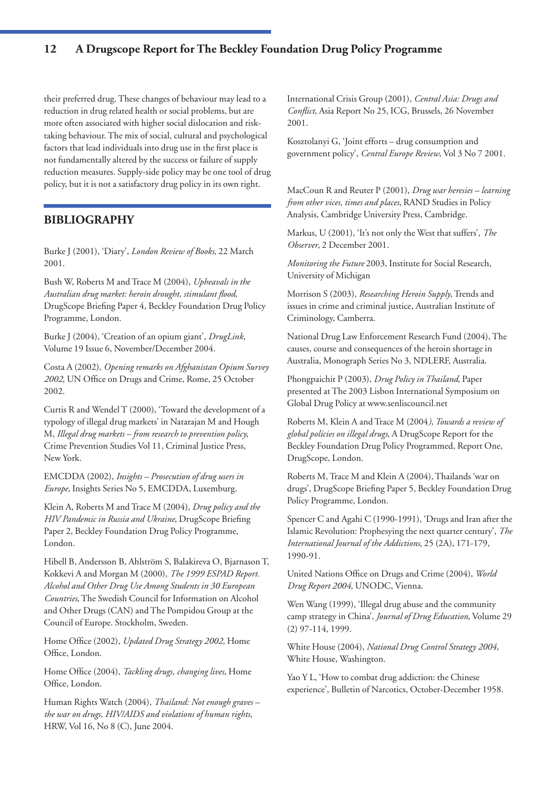their preferred drug. These changes of behaviour may lead to a reduction in drug related health or social problems, but are more often associated with higher social dislocation and risktaking behaviour. The mix of social, cultural and psychological factors that lead individuals into drug use in the first place is not fundamentally altered by the success or failure of supply reduction measures. Supply-side policy may be one tool of drug policy, but it is not a satisfactory drug policy in its own right.

# **BIBLIOGRAPHY**

Burke J (2001), 'Diary', *London Review of Books*, 22 March 2001.

Bush W, Roberts M and Trace M (2004), *Upheavals in the Australian drug market: heroin drought, stimulant flood*, DrugScope Briefing Paper 4, Beckley Foundation Drug Policy Programme, London.

Burke J (2004), 'Creation of an opium giant', *DrugLink*, Volume 19 Issue 6, November/December 2004.

Costa A (2002), *Opening remarks on Afghanistan Opium Survey 2002*, UN Office on Drugs and Crime, Rome, 25 October 2002.

Curtis R and Wendel T (2000), 'Toward the development of a typology of illegal drug markets' in Natarajan M and Hough M, *Illegal drug markets – from research to prevention policy*, Crime Prevention Studies Vol 11, Criminal Justice Press, New York.

EMCDDA (2002), *Insights – Prosecution of drug users in Europe*, Insights Series No 5, EMCDDA, Luxemburg.

Klein A, Roberts M and Trace M (2004), *Drug policy and the HIV Pandemic in Russia and Ukraine*, DrugScope Briefing Paper 2, Beckley Foundation Drug Policy Programme, London.

Hibell B, Andersson B, Ahlström S, Balakireva O, Bjarnason T, Kokkevi A and Morgan M (2000), *The 1999 ESPAD Report. Alcohol and Other Drug Use Among Students in 30 European Countries*, The Swedish Council for Information on Alcohol and Other Drugs (CAN) and The Pompidou Group at the Council of Europe. Stockholm, Sweden.

Home Office (2002), *Updated Drug Strategy 2002*, Home Office, London.

Home Office (2004), *Tackling drugs, changing lives*, Home Office, London.

Human Rights Watch (2004), *Thailand: Not enough graves – the war on drugs, HIV/AIDS and violations of human rights*, HRW, Vol 16, No 8 (C), June 2004.

International Crisis Group (2001), *Central Asia: Drugs and Conflict*, Asia Report No 25, ICG, Brussels, 26 November 2001.

Kosztolanyi G, 'Joint efforts – drug consumption and government policy', *Central Europe Review*, Vol 3 No 7 2001.

MacCoun R and Reuter P (2001), *Drug war heresies – learning from other vices, times and places*, RAND Studies in Policy Analysis, Cambridge University Press, Cambridge.

Markus, U (2001), 'It's not only the West that suffers', *The Observer*, 2 December 2001.

*Monitoring the Future* 2003, Institute for Social Research, University of Michigan

Morrison S (2003), *Researching Heroin Supply*, Trends and issues in crime and criminal justice, Australian Institute of Criminology, Camberra.

National Drug Law Enforcement Research Fund (2004), The causes, course and consequences of the heroin shortage in Australia, Monograph Series No 3, NDLERF, Australia.

Phongpaichit P (2003), *Drug Policy in Thailand*, Paper presented at The 2003 Lisbon International Symposium on Global Drug Policy at www.senliscouncil.net

Roberts M, Klein A and Trace M (2004*), Towards a review of global policies on illegal drugs*, A DrugScope Report for the Beckley Foundation Drug Policy Programmed, Report One, DrugScope, London.

Roberts M, Trace M and Klein A (2004), Thailands 'war on drugs', DrugScope Briefing Paper 5, Beckley Foundation Drug Policy Programme, London.

Spencer C and Agahi C (1990-1991), 'Drugs and Iran after the Islamic Revolution: Prophesying the next quarter century', *The International Journal of the Addictions*, 25 (2A), 171-179, 1990-91.

United Nations Office on Drugs and Crime (2004), *World Drug Report 2004*, UNODC, Vienna.

Wen Wang (1999), 'Illegal drug abuse and the community camp strategy in China', *Journal of Drug Education*, Volume 29 (2) 97-114, 1999.

White House (2004), *National Drug Control Strategy 2004*, White House, Washington.

Yao Y L, 'How to combat drug addiction: the Chinese experience', Bulletin of Narcotics, October-December 1958.